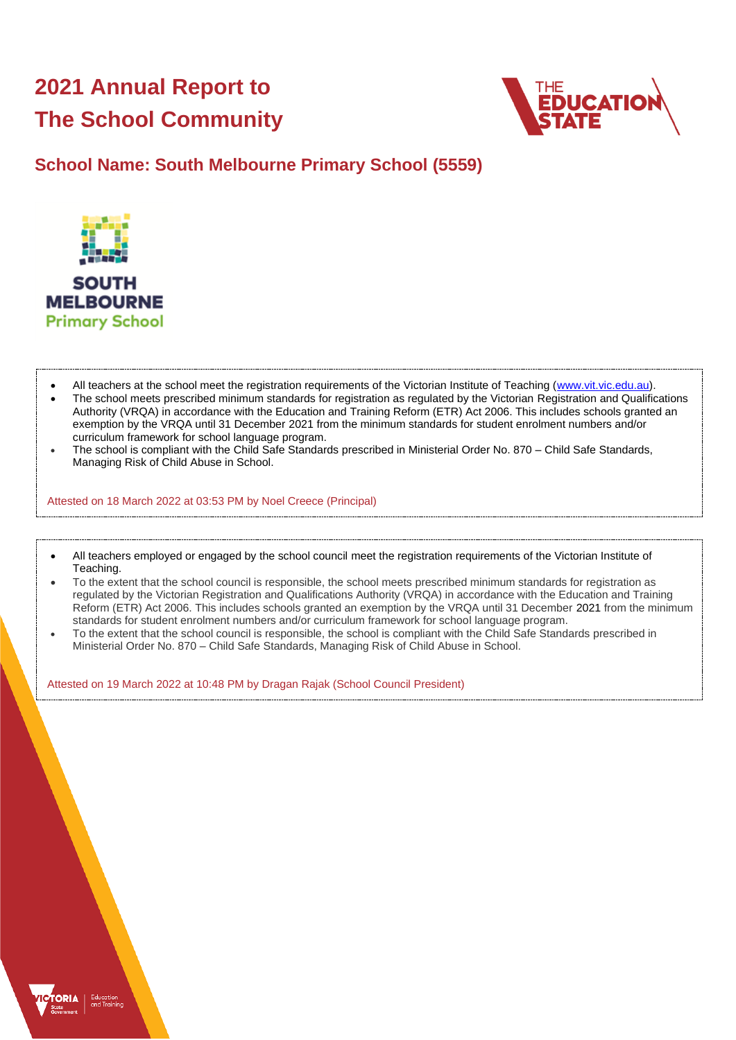# **2021 Annual Report to The School Community**



## **School Name: South Melbourne Primary School (5559)**



- All teachers at the school meet the registration requirements of the Victorian Institute of Teaching [\(www.vit.vic.edu.au\)](https://www.vit.vic.edu.au/).
- The school meets prescribed minimum standards for registration as regulated by the Victorian Registration and Qualifications Authority (VRQA) in accordance with the Education and Training Reform (ETR) Act 2006. This includes schools granted an exemption by the VRQA until 31 December 2021 from the minimum standards for student enrolment numbers and/or curriculum framework for school language program.
- The school is compliant with the Child Safe Standards prescribed in Ministerial Order No. 870 Child Safe Standards, Managing Risk of Child Abuse in School.

Attested on 18 March 2022 at 03:53 PM by Noel Creece (Principal)

- All teachers employed or engaged by the school council meet the registration requirements of the Victorian Institute of Teaching.
- To the extent that the school council is responsible, the school meets prescribed minimum standards for registration as regulated by the Victorian Registration and Qualifications Authority (VRQA) in accordance with the Education and Training Reform (ETR) Act 2006. This includes schools granted an exemption by the VRQA until 31 December 2021 from the minimum standards for student enrolment numbers and/or curriculum framework for school language program.
- To the extent that the school council is responsible, the school is compliant with the Child Safe Standards prescribed in Ministerial Order No. 870 – Child Safe Standards, Managing Risk of Child Abuse in School.

Attested on 19 March 2022 at 10:48 PM by Dragan Rajak (School Council President)

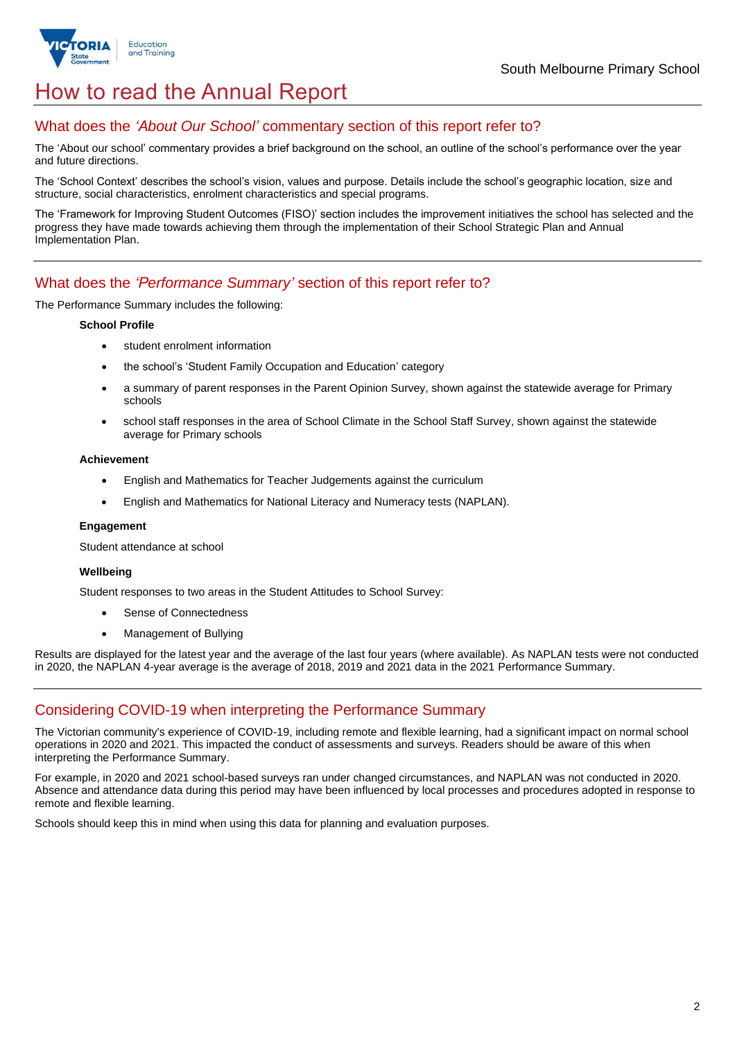

## How to read the Annual Report

## What does the *'About Our School'* commentary section of this report refer to?

The 'About our school' commentary provides a brief background on the school, an outline of the school's performance over the year and future directions.

The 'School Context' describes the school's vision, values and purpose. Details include the school's geographic location, size and structure, social characteristics, enrolment characteristics and special programs.

The 'Framework for Improving Student Outcomes (FISO)' section includes the improvement initiatives the school has selected and the progress they have made towards achieving them through the implementation of their School Strategic Plan and Annual Implementation Plan.

## What does the *'Performance Summary'* section of this report refer to?

The Performance Summary includes the following:

#### **School Profile**

- student enrolment information
- the school's 'Student Family Occupation and Education' category
- a summary of parent responses in the Parent Opinion Survey, shown against the statewide average for Primary schools
- school staff responses in the area of School Climate in the School Staff Survey, shown against the statewide average for Primary schools

#### **Achievement**

- English and Mathematics for Teacher Judgements against the curriculum
- English and Mathematics for National Literacy and Numeracy tests (NAPLAN).

#### **Engagement**

Student attendance at school

#### **Wellbeing**

Student responses to two areas in the Student Attitudes to School Survey:

- Sense of Connectedness
- Management of Bullying

Results are displayed for the latest year and the average of the last four years (where available). As NAPLAN tests were not conducted in 2020, the NAPLAN 4-year average is the average of 2018, 2019 and 2021 data in the 2021 Performance Summary.

## Considering COVID-19 when interpreting the Performance Summary

The Victorian community's experience of COVID-19, including remote and flexible learning, had a significant impact on normal school operations in 2020 and 2021. This impacted the conduct of assessments and surveys. Readers should be aware of this when interpreting the Performance Summary.

For example, in 2020 and 2021 school-based surveys ran under changed circumstances, and NAPLAN was not conducted in 2020. Absence and attendance data during this period may have been influenced by local processes and procedures adopted in response to remote and flexible learning.

Schools should keep this in mind when using this data for planning and evaluation purposes.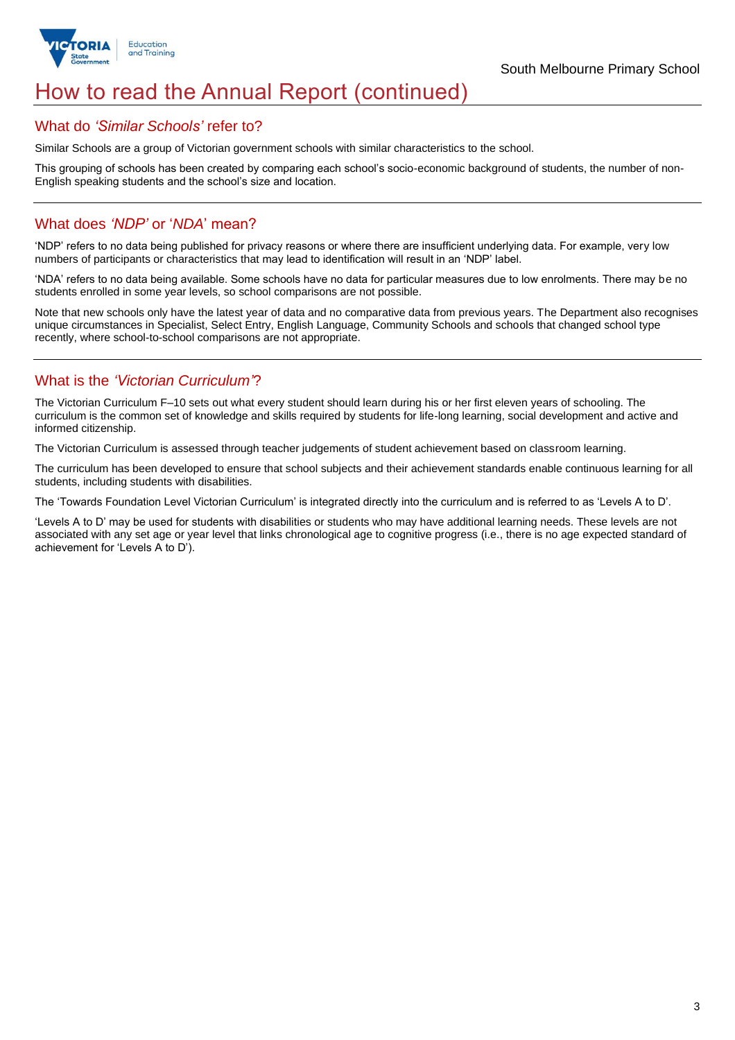

## How to read the Annual Report (continued)

## What do *'Similar Schools'* refer to?

Similar Schools are a group of Victorian government schools with similar characteristics to the school.

This grouping of schools has been created by comparing each school's socio-economic background of students, the number of non-English speaking students and the school's size and location.

## What does *'NDP'* or '*NDA*' mean?

'NDP' refers to no data being published for privacy reasons or where there are insufficient underlying data. For example, very low numbers of participants or characteristics that may lead to identification will result in an 'NDP' label.

'NDA' refers to no data being available. Some schools have no data for particular measures due to low enrolments. There may be no students enrolled in some year levels, so school comparisons are not possible.

Note that new schools only have the latest year of data and no comparative data from previous years. The Department also recognises unique circumstances in Specialist, Select Entry, English Language, Community Schools and schools that changed school type recently, where school-to-school comparisons are not appropriate.

## What is the *'Victorian Curriculum'*?

The Victorian Curriculum F–10 sets out what every student should learn during his or her first eleven years of schooling. The curriculum is the common set of knowledge and skills required by students for life-long learning, social development and active and informed citizenship.

The Victorian Curriculum is assessed through teacher judgements of student achievement based on classroom learning.

The curriculum has been developed to ensure that school subjects and their achievement standards enable continuous learning for all students, including students with disabilities.

The 'Towards Foundation Level Victorian Curriculum' is integrated directly into the curriculum and is referred to as 'Levels A to D'.

'Levels A to D' may be used for students with disabilities or students who may have additional learning needs. These levels are not associated with any set age or year level that links chronological age to cognitive progress (i.e., there is no age expected standard of achievement for 'Levels A to D').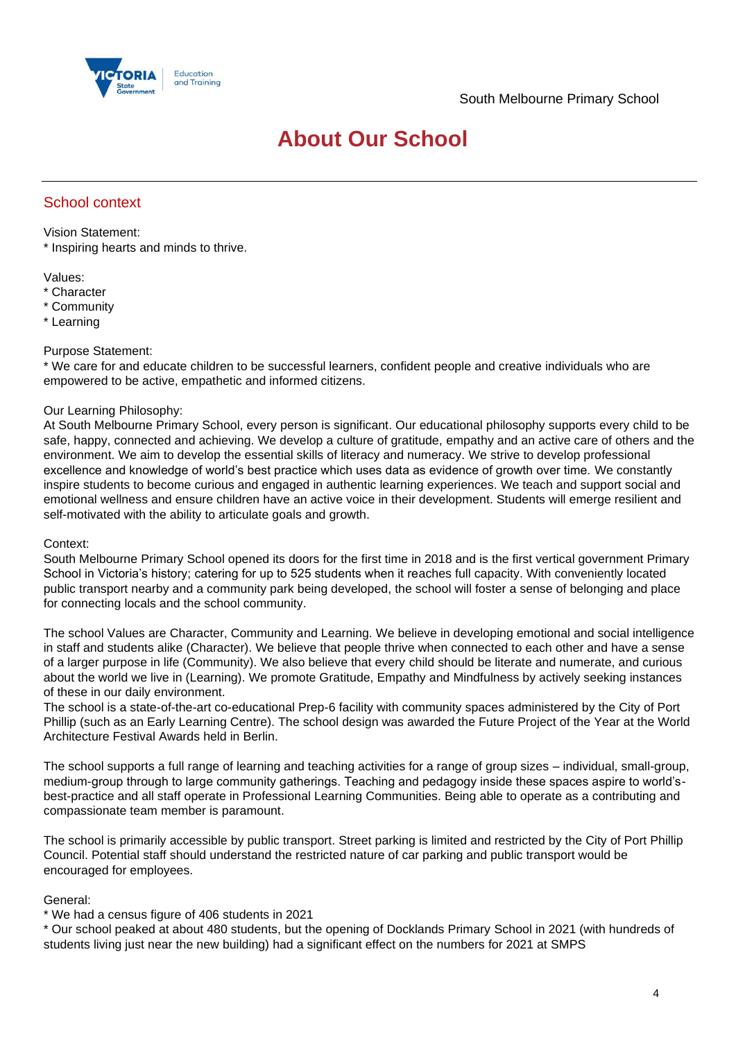

## **About Our School**

## School context

Vision Statement:

\* Inspiring hearts and minds to thrive.

Values:

- \* Character
- \* Community
- \* Learning

#### Purpose Statement:

\* We care for and educate children to be successful learners, confident people and creative individuals who are empowered to be active, empathetic and informed citizens.

## Our Learning Philosophy:

At South Melbourne Primary School, every person is significant. Our educational philosophy supports every child to be safe, happy, connected and achieving. We develop a culture of gratitude, empathy and an active care of others and the environment. We aim to develop the essential skills of literacy and numeracy. We strive to develop professional excellence and knowledge of world's best practice which uses data as evidence of growth over time. We constantly inspire students to become curious and engaged in authentic learning experiences. We teach and support social and emotional wellness and ensure children have an active voice in their development. Students will emerge resilient and self-motivated with the ability to articulate goals and growth.

## Context:

South Melbourne Primary School opened its doors for the first time in 2018 and is the first vertical government Primary School in Victoria's history; catering for up to 525 students when it reaches full capacity. With conveniently located public transport nearby and a community park being developed, the school will foster a sense of belonging and place for connecting locals and the school community.

The school Values are Character, Community and Learning. We believe in developing emotional and social intelligence in staff and students alike (Character). We believe that people thrive when connected to each other and have a sense of a larger purpose in life (Community). We also believe that every child should be literate and numerate, and curious about the world we live in (Learning). We promote Gratitude, Empathy and Mindfulness by actively seeking instances of these in our daily environment.

The school is a state-of-the-art co-educational Prep-6 facility with community spaces administered by the City of Port Phillip (such as an Early Learning Centre). The school design was awarded the Future Project of the Year at the World Architecture Festival Awards held in Berlin.

The school supports a full range of learning and teaching activities for a range of group sizes – individual, small-group, medium-group through to large community gatherings. Teaching and pedagogy inside these spaces aspire to world'sbest-practice and all staff operate in Professional Learning Communities. Being able to operate as a contributing and compassionate team member is paramount.

The school is primarily accessible by public transport. Street parking is limited and restricted by the City of Port Phillip Council. Potential staff should understand the restricted nature of car parking and public transport would be encouraged for employees.

## General:

## \* We had a census figure of 406 students in 2021

\* Our school peaked at about 480 students, but the opening of Docklands Primary School in 2021 (with hundreds of students living just near the new building) had a significant effect on the numbers for 2021 at SMPS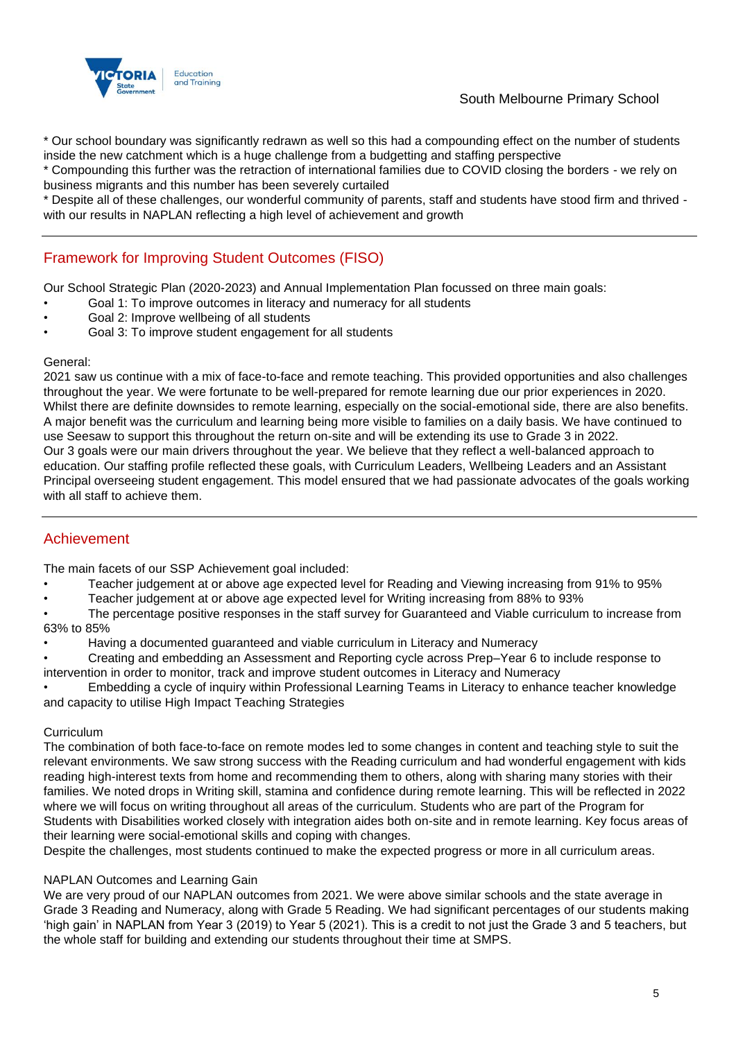

## South Melbourne Primary School

\* Our school boundary was significantly redrawn as well so this had a compounding effect on the number of students inside the new catchment which is a huge challenge from a budgetting and staffing perspective

\* Compounding this further was the retraction of international families due to COVID closing the borders - we rely on business migrants and this number has been severely curtailed

\* Despite all of these challenges, our wonderful community of parents, staff and students have stood firm and thrived with our results in NAPLAN reflecting a high level of achievement and growth

## Framework for Improving Student Outcomes (FISO)

Our School Strategic Plan (2020-2023) and Annual Implementation Plan focussed on three main goals:

- Goal 1: To improve outcomes in literacy and numeracy for all students
- Goal 2: Improve wellbeing of all students
- Goal 3: To improve student engagement for all students

#### General:

2021 saw us continue with a mix of face-to-face and remote teaching. This provided opportunities and also challenges throughout the year. We were fortunate to be well-prepared for remote learning due our prior experiences in 2020. Whilst there are definite downsides to remote learning, especially on the social-emotional side, there are also benefits. A major benefit was the curriculum and learning being more visible to families on a daily basis. We have continued to use Seesaw to support this throughout the return on-site and will be extending its use to Grade 3 in 2022. Our 3 goals were our main drivers throughout the year. We believe that they reflect a well-balanced approach to education. Our staffing profile reflected these goals, with Curriculum Leaders, Wellbeing Leaders and an Assistant Principal overseeing student engagement. This model ensured that we had passionate advocates of the goals working with all staff to achieve them.

## Achievement

The main facets of our SSP Achievement goal included:

- Teacher judgement at or above age expected level for Reading and Viewing increasing from 91% to 95%
- Teacher judgement at or above age expected level for Writing increasing from 88% to 93%
- The percentage positive responses in the staff survey for Guaranteed and Viable curriculum to increase from 63% to 85%
- Having a documented guaranteed and viable curriculum in Literacy and Numeracy
- Creating and embedding an Assessment and Reporting cycle across Prep–Year 6 to include response to intervention in order to monitor, track and improve student outcomes in Literacy and Numeracy
- Embedding a cycle of inquiry within Professional Learning Teams in Literacy to enhance teacher knowledge and capacity to utilise High Impact Teaching Strategies

## Curriculum

The combination of both face-to-face on remote modes led to some changes in content and teaching style to suit the relevant environments. We saw strong success with the Reading curriculum and had wonderful engagement with kids reading high-interest texts from home and recommending them to others, along with sharing many stories with their families. We noted drops in Writing skill, stamina and confidence during remote learning. This will be reflected in 2022 where we will focus on writing throughout all areas of the curriculum. Students who are part of the Program for Students with Disabilities worked closely with integration aides both on-site and in remote learning. Key focus areas of their learning were social-emotional skills and coping with changes.

Despite the challenges, most students continued to make the expected progress or more in all curriculum areas.

## NAPLAN Outcomes and Learning Gain

We are very proud of our NAPLAN outcomes from 2021. We were above similar schools and the state average in Grade 3 Reading and Numeracy, along with Grade 5 Reading. We had significant percentages of our students making 'high gain' in NAPLAN from Year 3 (2019) to Year 5 (2021). This is a credit to not just the Grade 3 and 5 teachers, but the whole staff for building and extending our students throughout their time at SMPS.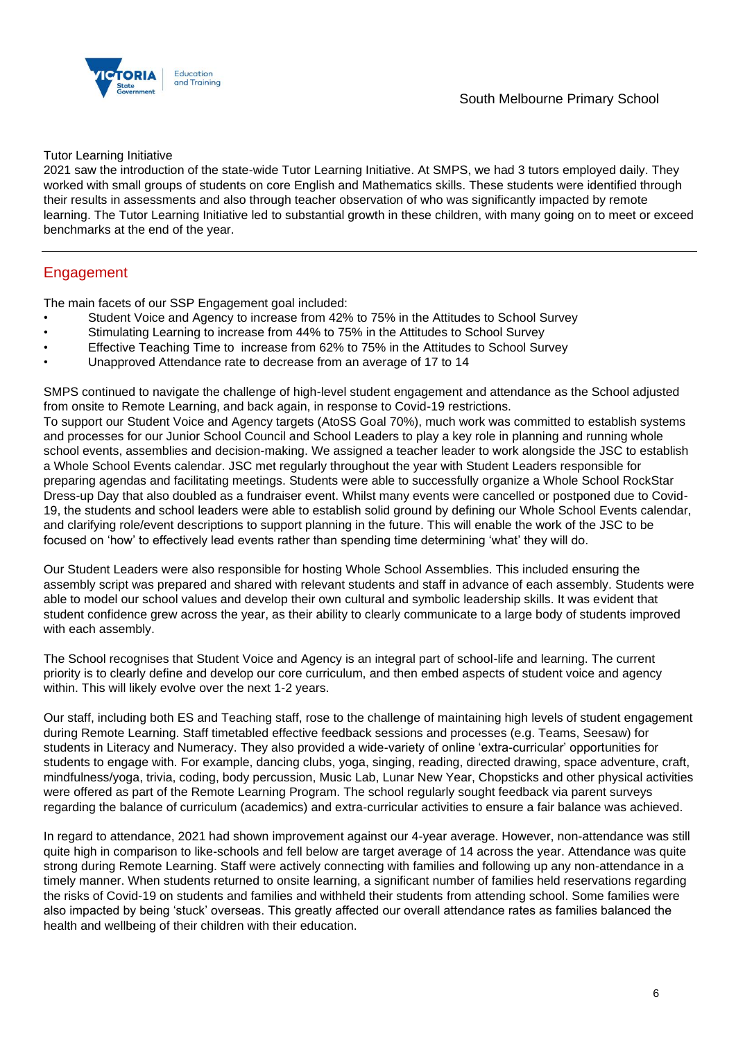South Melbourne Primary School



#### Tutor Learning Initiative

2021 saw the introduction of the state-wide Tutor Learning Initiative. At SMPS, we had 3 tutors employed daily. They worked with small groups of students on core English and Mathematics skills. These students were identified through their results in assessments and also through teacher observation of who was significantly impacted by remote learning. The Tutor Learning Initiative led to substantial growth in these children, with many going on to meet or exceed benchmarks at the end of the year.

## Engagement

The main facets of our SSP Engagement goal included:

- Student Voice and Agency to increase from 42% to 75% in the Attitudes to School Survey
- Stimulating Learning to increase from 44% to 75% in the Attitudes to School Survey
- Effective Teaching Time to increase from 62% to 75% in the Attitudes to School Survey
- Unapproved Attendance rate to decrease from an average of 17 to 14

SMPS continued to navigate the challenge of high-level student engagement and attendance as the School adjusted from onsite to Remote Learning, and back again, in response to Covid-19 restrictions.

To support our Student Voice and Agency targets (AtoSS Goal 70%), much work was committed to establish systems and processes for our Junior School Council and School Leaders to play a key role in planning and running whole school events, assemblies and decision-making. We assigned a teacher leader to work alongside the JSC to establish a Whole School Events calendar. JSC met regularly throughout the year with Student Leaders responsible for preparing agendas and facilitating meetings. Students were able to successfully organize a Whole School RockStar Dress-up Day that also doubled as a fundraiser event. Whilst many events were cancelled or postponed due to Covid-19, the students and school leaders were able to establish solid ground by defining our Whole School Events calendar, and clarifying role/event descriptions to support planning in the future. This will enable the work of the JSC to be focused on 'how' to effectively lead events rather than spending time determining 'what' they will do.

Our Student Leaders were also responsible for hosting Whole School Assemblies. This included ensuring the assembly script was prepared and shared with relevant students and staff in advance of each assembly. Students were able to model our school values and develop their own cultural and symbolic leadership skills. It was evident that student confidence grew across the year, as their ability to clearly communicate to a large body of students improved with each assembly.

The School recognises that Student Voice and Agency is an integral part of school-life and learning. The current priority is to clearly define and develop our core curriculum, and then embed aspects of student voice and agency within. This will likely evolve over the next 1-2 years.

Our staff, including both ES and Teaching staff, rose to the challenge of maintaining high levels of student engagement during Remote Learning. Staff timetabled effective feedback sessions and processes (e.g. Teams, Seesaw) for students in Literacy and Numeracy. They also provided a wide-variety of online 'extra-curricular' opportunities for students to engage with. For example, dancing clubs, yoga, singing, reading, directed drawing, space adventure, craft, mindfulness/yoga, trivia, coding, body percussion, Music Lab, Lunar New Year, Chopsticks and other physical activities were offered as part of the Remote Learning Program. The school regularly sought feedback via parent surveys regarding the balance of curriculum (academics) and extra-curricular activities to ensure a fair balance was achieved.

In regard to attendance, 2021 had shown improvement against our 4-year average. However, non-attendance was still quite high in comparison to like-schools and fell below are target average of 14 across the year. Attendance was quite strong during Remote Learning. Staff were actively connecting with families and following up any non-attendance in a timely manner. When students returned to onsite learning, a significant number of families held reservations regarding the risks of Covid-19 on students and families and withheld their students from attending school. Some families were also impacted by being 'stuck' overseas. This greatly affected our overall attendance rates as families balanced the health and wellbeing of their children with their education.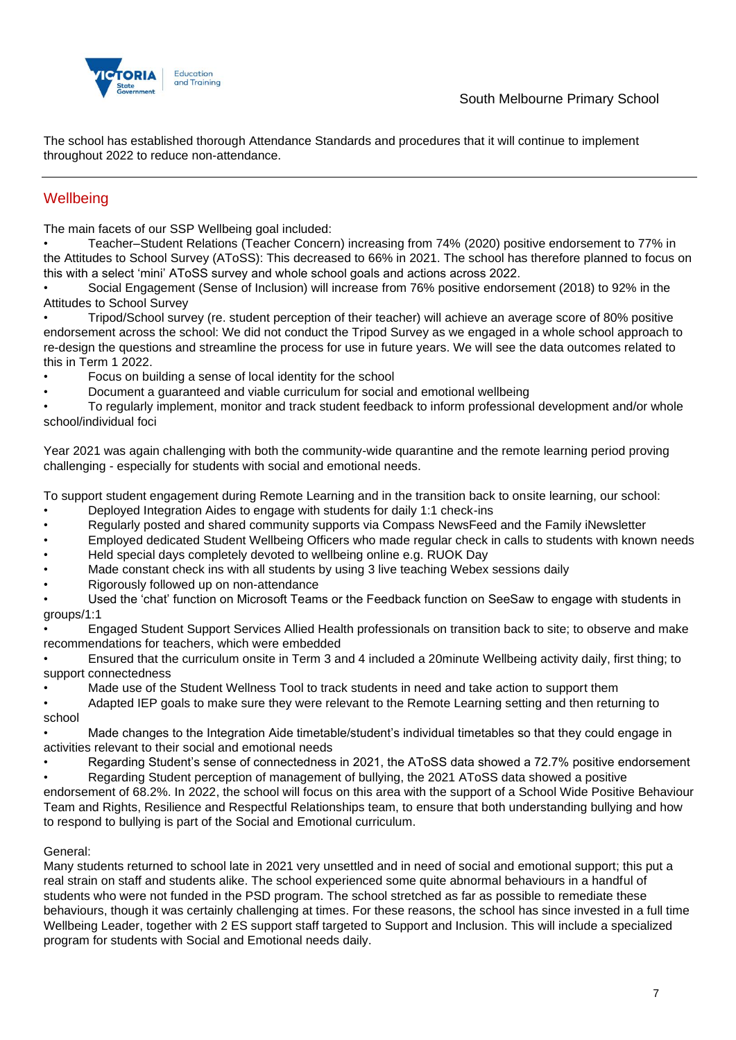

The school has established thorough Attendance Standards and procedures that it will continue to implement throughout 2022 to reduce non-attendance.

## **Wellbeing**

The main facets of our SSP Wellbeing goal included:

• Teacher–Student Relations (Teacher Concern) increasing from 74% (2020) positive endorsement to 77% in the Attitudes to School Survey (AToSS): This decreased to 66% in 2021. The school has therefore planned to focus on this with a select 'mini' AToSS survey and whole school goals and actions across 2022.

• Social Engagement (Sense of Inclusion) will increase from 76% positive endorsement (2018) to 92% in the Attitudes to School Survey

• Tripod/School survey (re. student perception of their teacher) will achieve an average score of 80% positive endorsement across the school: We did not conduct the Tripod Survey as we engaged in a whole school approach to re-design the questions and streamline the process for use in future years. We will see the data outcomes related to this in Term 1 2022.

- Focus on building a sense of local identity for the school
- Document a guaranteed and viable curriculum for social and emotional wellbeing

• To regularly implement, monitor and track student feedback to inform professional development and/or whole school/individual foci

Year 2021 was again challenging with both the community-wide quarantine and the remote learning period proving challenging - especially for students with social and emotional needs.

To support student engagement during Remote Learning and in the transition back to onsite learning, our school:

- Deployed Integration Aides to engage with students for daily 1:1 check-ins
- Regularly posted and shared community supports via Compass NewsFeed and the Family iNewsletter
- Employed dedicated Student Wellbeing Officers who made regular check in calls to students with known needs
- Held special days completely devoted to wellbeing online e.g. RUOK Day
- Made constant check ins with all students by using 3 live teaching Webex sessions daily
- Rigorously followed up on non-attendance

• Used the 'chat' function on Microsoft Teams or the Feedback function on SeeSaw to engage with students in groups/1:1

• Engaged Student Support Services Allied Health professionals on transition back to site; to observe and make recommendations for teachers, which were embedded

• Ensured that the curriculum onsite in Term 3 and 4 included a 20minute Wellbeing activity daily, first thing; to support connectedness

Made use of the Student Wellness Tool to track students in need and take action to support them

• Adapted IEP goals to make sure they were relevant to the Remote Learning setting and then returning to school

• Made changes to the Integration Aide timetable/student's individual timetables so that they could engage in activities relevant to their social and emotional needs

- Regarding Student's sense of connectedness in 2021, the AToSS data showed a 72.7% positive endorsement
- Regarding Student perception of management of bullying, the 2021 AToSS data showed a positive

endorsement of 68.2%. In 2022, the school will focus on this area with the support of a School Wide Positive Behaviour Team and Rights, Resilience and Respectful Relationships team, to ensure that both understanding bullying and how to respond to bullying is part of the Social and Emotional curriculum.

## General:

Many students returned to school late in 2021 very unsettled and in need of social and emotional support; this put a real strain on staff and students alike. The school experienced some quite abnormal behaviours in a handful of students who were not funded in the PSD program. The school stretched as far as possible to remediate these behaviours, though it was certainly challenging at times. For these reasons, the school has since invested in a full time Wellbeing Leader, together with 2 ES support staff targeted to Support and Inclusion. This will include a specialized program for students with Social and Emotional needs daily.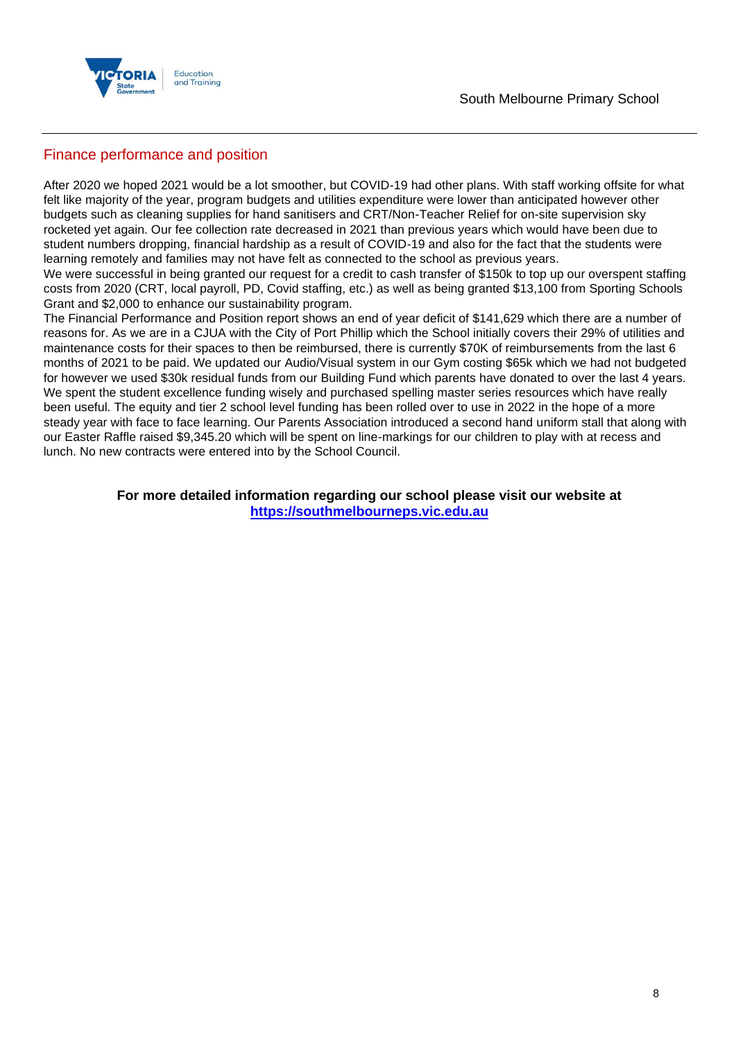

## Finance performance and position

After 2020 we hoped 2021 would be a lot smoother, but COVID-19 had other plans. With staff working offsite for what felt like majority of the year, program budgets and utilities expenditure were lower than anticipated however other budgets such as cleaning supplies for hand sanitisers and CRT/Non-Teacher Relief for on-site supervision sky rocketed yet again. Our fee collection rate decreased in 2021 than previous years which would have been due to student numbers dropping, financial hardship as a result of COVID-19 and also for the fact that the students were learning remotely and families may not have felt as connected to the school as previous years.

We were successful in being granted our request for a credit to cash transfer of \$150k to top up our overspent staffing costs from 2020 (CRT, local payroll, PD, Covid staffing, etc.) as well as being granted \$13,100 from Sporting Schools Grant and \$2,000 to enhance our sustainability program.

The Financial Performance and Position report shows an end of year deficit of \$141,629 which there are a number of reasons for. As we are in a CJUA with the City of Port Phillip which the School initially covers their 29% of utilities and maintenance costs for their spaces to then be reimbursed, there is currently \$70K of reimbursements from the last 6 months of 2021 to be paid. We updated our Audio/Visual system in our Gym costing \$65k which we had not budgeted for however we used \$30k residual funds from our Building Fund which parents have donated to over the last 4 years. We spent the student excellence funding wisely and purchased spelling master series resources which have really been useful. The equity and tier 2 school level funding has been rolled over to use in 2022 in the hope of a more steady year with face to face learning. Our Parents Association introduced a second hand uniform stall that along with our Easter Raffle raised \$9,345.20 which will be spent on line-markings for our children to play with at recess and lunch. No new contracts were entered into by the School Council.

> **For more detailed information regarding our school please visit our website at [https://southmelbourneps.vic.edu.au](https://southmelbourneps.vic.edu.au/)**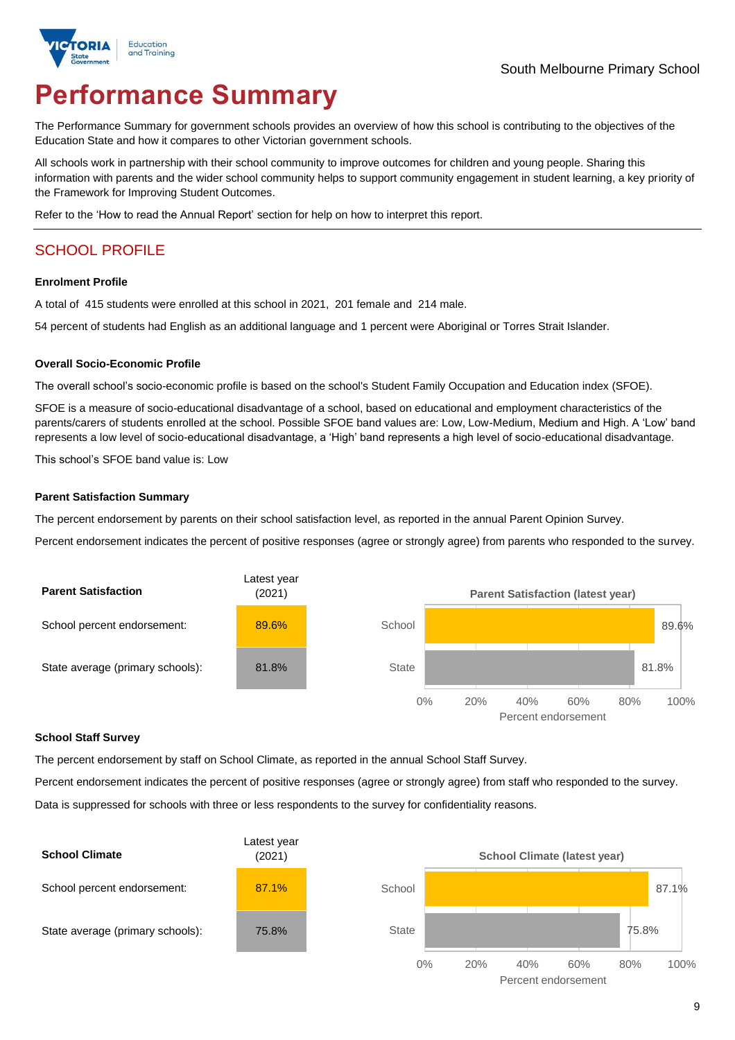

# **Performance Summary**

The Performance Summary for government schools provides an overview of how this school is contributing to the objectives of the Education State and how it compares to other Victorian government schools.

All schools work in partnership with their school community to improve outcomes for children and young people. Sharing this information with parents and the wider school community helps to support community engagement in student learning, a key priority of the Framework for Improving Student Outcomes.

Refer to the 'How to read the Annual Report' section for help on how to interpret this report.

## SCHOOL PROFILE

#### **Enrolment Profile**

A total of 415 students were enrolled at this school in 2021, 201 female and 214 male.

54 percent of students had English as an additional language and 1 percent were Aboriginal or Torres Strait Islander.

#### **Overall Socio-Economic Profile**

The overall school's socio-economic profile is based on the school's Student Family Occupation and Education index (SFOE).

SFOE is a measure of socio-educational disadvantage of a school, based on educational and employment characteristics of the parents/carers of students enrolled at the school. Possible SFOE band values are: Low, Low-Medium, Medium and High. A 'Low' band represents a low level of socio-educational disadvantage, a 'High' band represents a high level of socio-educational disadvantage.

This school's SFOE band value is: Low

#### **Parent Satisfaction Summary**

The percent endorsement by parents on their school satisfaction level, as reported in the annual Parent Opinion Survey.

Percent endorsement indicates the percent of positive responses (agree or strongly agree) from parents who responded to the survey.



#### **School Staff Survey**

The percent endorsement by staff on School Climate, as reported in the annual School Staff Survey.

Percent endorsement indicates the percent of positive responses (agree or strongly agree) from staff who responded to the survey.

Data is suppressed for schools with three or less respondents to the survey for confidentiality reasons.

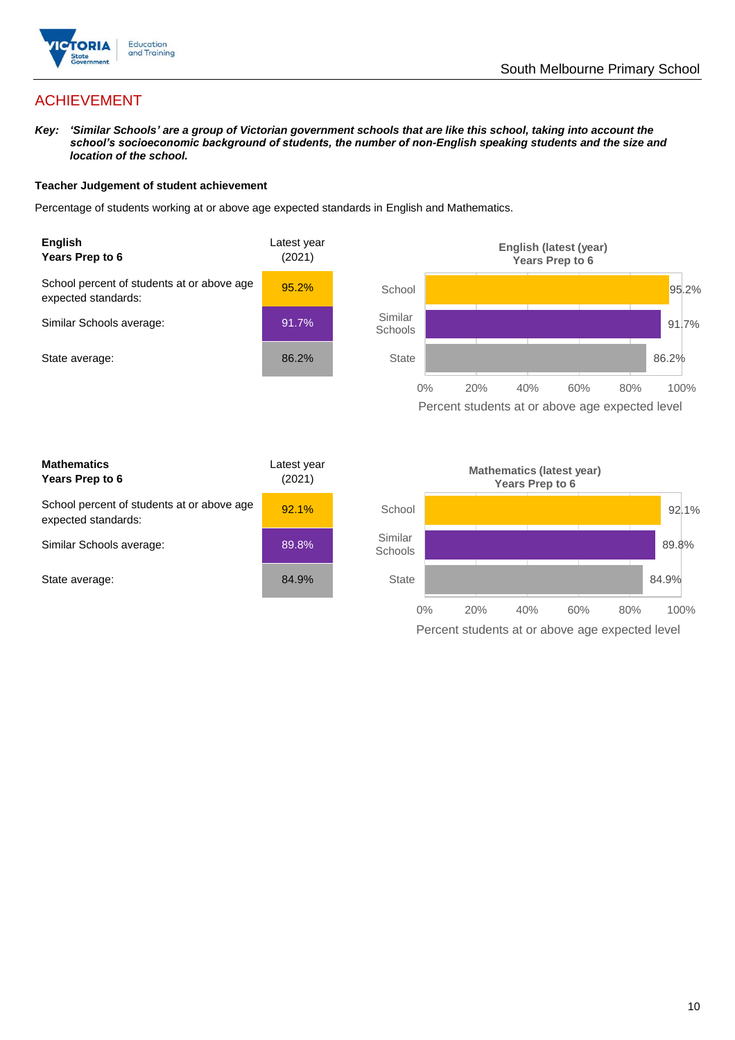

## ACHIEVEMENT

*Key: 'Similar Schools' are a group of Victorian government schools that are like this school, taking into account the school's socioeconomic background of students, the number of non-English speaking students and the size and location of the school.*

#### **Teacher Judgement of student achievement**

Percentage of students working at or above age expected standards in English and Mathematics.



Percent students at or above age expected level

| <b>Mathematics</b><br>Years Prep to 6                             | Latest year<br>(2021) |
|-------------------------------------------------------------------|-----------------------|
| School percent of students at or above age<br>expected standards: | 92.1%                 |
| Similar Schools average:                                          | 89.8%                 |
| State average:                                                    | 84.9%                 |

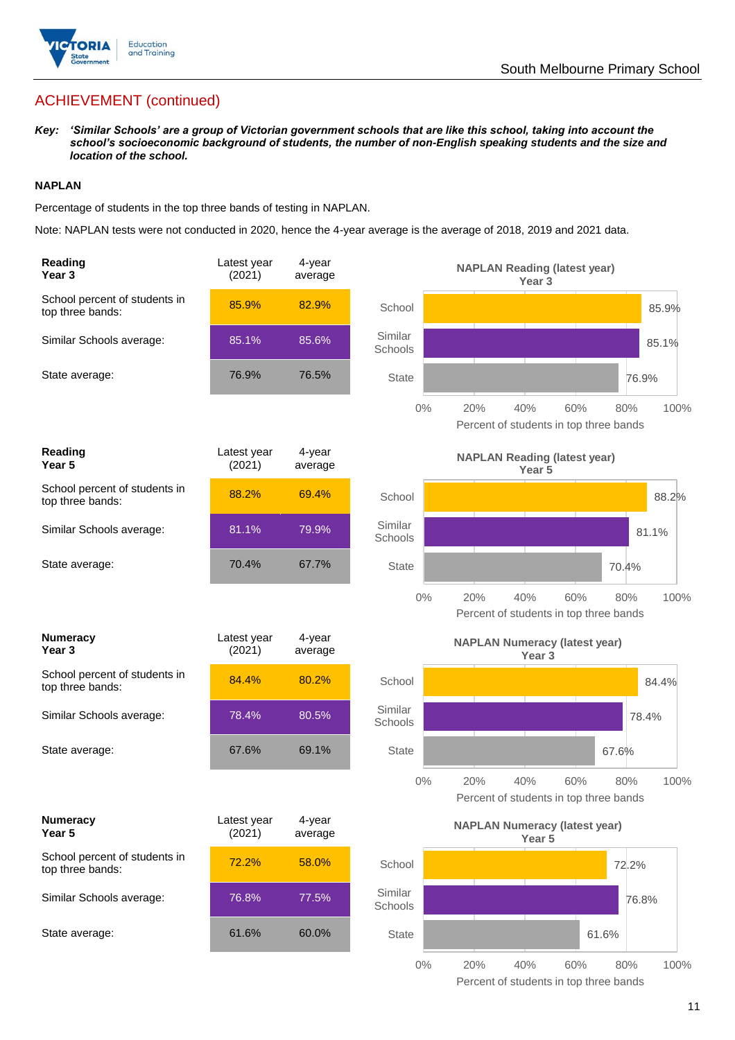

## ACHIEVEMENT (continued)

*Key: 'Similar Schools' are a group of Victorian government schools that are like this school, taking into account the school's socioeconomic background of students, the number of non-English speaking students and the size and location of the school.*

#### **NAPLAN**

Percentage of students in the top three bands of testing in NAPLAN.

Note: NAPLAN tests were not conducted in 2020, hence the 4-year average is the average of 2018, 2019 and 2021 data.

| Reading<br>Year <sub>3</sub>                      | Latest year<br>(2021) | 4-year<br>average |                    | <b>NAPLAN Reading (latest year)</b><br>Year <sub>3</sub>                   |
|---------------------------------------------------|-----------------------|-------------------|--------------------|----------------------------------------------------------------------------|
| School percent of students in<br>top three bands: | 85.9%                 | 82.9%             | School             | 85.9%                                                                      |
| Similar Schools average:                          | 85.1%                 | 85.6%             | Similar<br>Schools | 85.1%                                                                      |
| State average:                                    | 76.9%                 | 76.5%             | <b>State</b>       | 76.9%                                                                      |
|                                                   |                       |                   | 0%                 | 20%<br>40%<br>60%<br>80%<br>100%<br>Percent of students in top three bands |
| <b>Reading</b><br>Year 5                          | Latest year<br>(2021) | 4-year<br>average |                    | <b>NAPLAN Reading (latest year)</b><br>Year 5                              |
| School percent of students in<br>top three bands: | 88.2%                 | 69.4%             | School             | 88.2%                                                                      |
| Similar Schools average:                          | 81.1%                 | 79.9%             | Similar<br>Schools | 81.1%                                                                      |
| State average:                                    | 70.4%                 | 67.7%             | <b>State</b>       | 70.4%                                                                      |
|                                                   |                       |                   | $0\%$              | 20%<br>40%<br>60%<br>80%<br>100%<br>Percent of students in top three bands |
| <b>Numeracy</b><br>Year <sub>3</sub>              | Latest year<br>(2021) | 4-year<br>average |                    | <b>NAPLAN Numeracy (latest year)</b><br>Year <sub>3</sub>                  |
| School percent of students in<br>top three bands: | 84.4%                 | 80.2%             | School             | 84.4%                                                                      |
| Similar Schools average:                          | 78.4%                 | 80.5%             | Similar<br>Schools | 78.4%                                                                      |
| State average:                                    | 67.6%                 | 69.1%             | <b>State</b>       | 67.6%                                                                      |
|                                                   |                       |                   | 0%                 | 100%<br>40%<br>60%<br>80%<br>20%<br>Percent of students in top three bands |
| <b>Numeracy</b><br>Year 5                         | Latest year<br>(2021) | 4-year<br>average |                    | <b>NAPLAN Numeracy (latest year)</b><br>Year <sub>5</sub>                  |
| School percent of students in<br>top three bands: | 72.2%                 | 58.0%             | School             | 72.2%                                                                      |
| Similar Schools average:                          | 76.8%                 | 77.5%             | Similar<br>Schools | 76.8%                                                                      |
| State average:                                    | 61.6%                 | 60.0%             | State              | 61.6%                                                                      |
|                                                   |                       |                   | $0\%$              | 20%<br>40%<br>60%<br>80%<br>100%                                           |

Percent of students in top three bands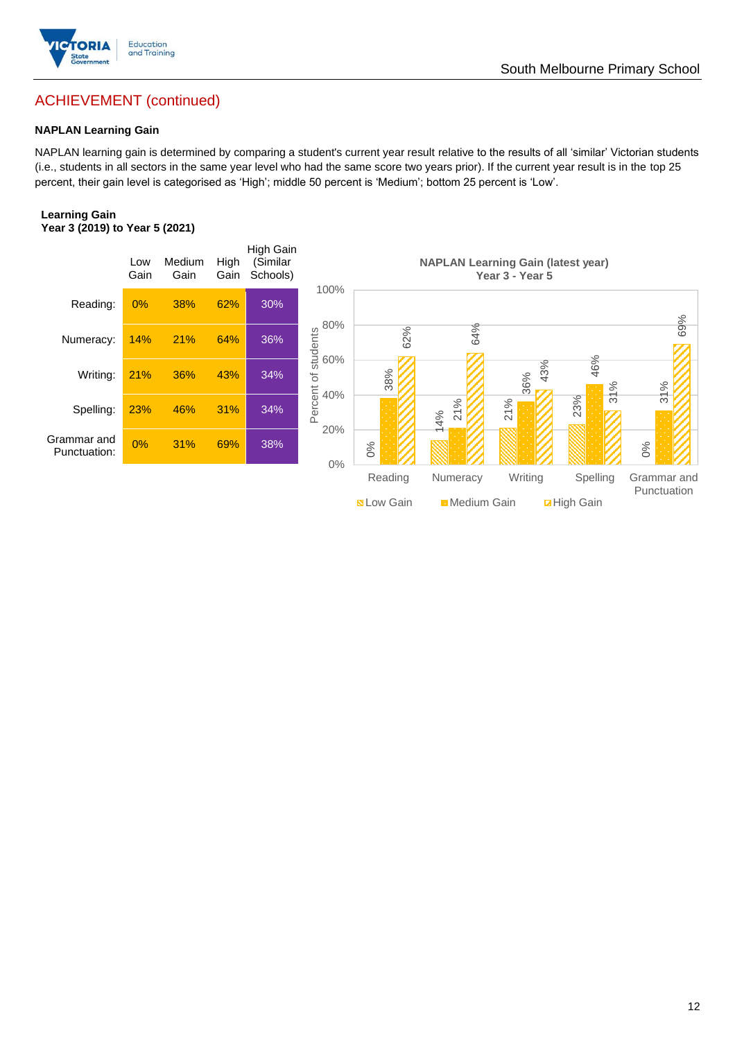

## South Melbourne Primary School

## ACHIEVEMENT (continued)

## **NAPLAN Learning Gain**

NAPLAN learning gain is determined by comparing a student's current year result relative to the results of all 'similar' Victorian students (i.e., students in all sectors in the same year level who had the same score two years prior). If the current year result is in the top 25 percent, their gain level is categorised as 'High'; middle 50 percent is 'Medium'; bottom 25 percent is 'Low'.

#### **Learning Gain Year 3 (2019) to Year 5 (2021)**

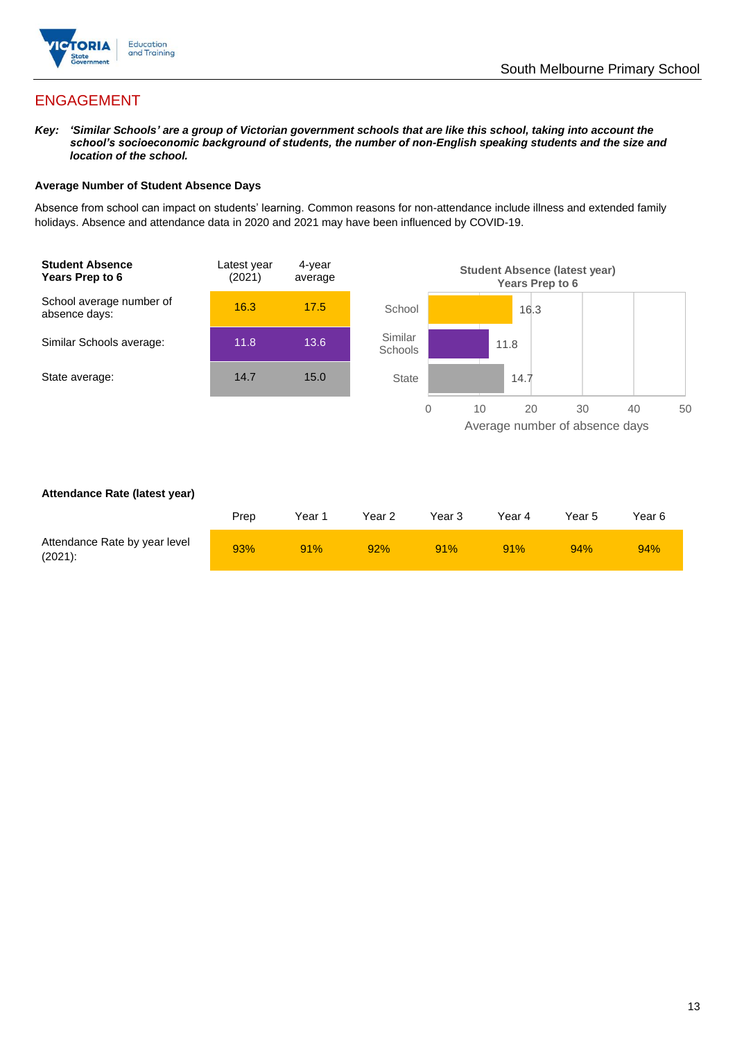

## ENGAGEMENT

*Key: 'Similar Schools' are a group of Victorian government schools that are like this school, taking into account the school's socioeconomic background of students, the number of non-English speaking students and the size and location of the school.*

#### **Average Number of Student Absence Days**

Absence from school can impact on students' learning. Common reasons for non-attendance include illness and extended family holidays. Absence and attendance data in 2020 and 2021 may have been influenced by COVID-19.



#### **Attendance Rate (latest year)**

|                                             | Prep | Year 1 | Year 2 | Year 3 | Year 4 | Year 5 | Year 6 |
|---------------------------------------------|------|--------|--------|--------|--------|--------|--------|
| Attendance Rate by year level<br>$(2021)$ : | 93%  | 91%    | 92%    | 91%    | 91%    | 94%    | 94%    |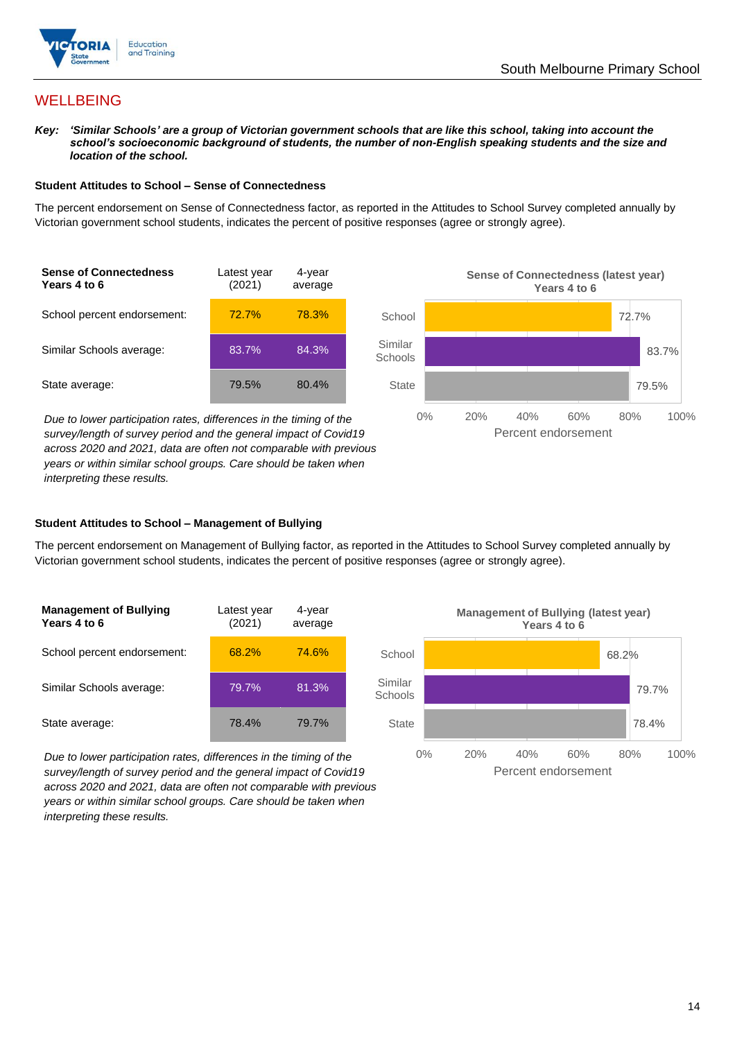

## **WELLBEING**

*Key: 'Similar Schools' are a group of Victorian government schools that are like this school, taking into account the school's socioeconomic background of students, the number of non-English speaking students and the size and location of the school.*

#### **Student Attitudes to School – Sense of Connectedness**

The percent endorsement on Sense of Connectedness factor, as reported in the Attitudes to School Survey completed annually by Victorian government school students, indicates the percent of positive responses (agree or strongly agree).



*Due to lower participation rates, differences in the timing of the survey/length of survey period and the general impact of Covid19 across 2020 and 2021, data are often not comparable with previous years or within similar school groups. Care should be taken when interpreting these results.*



#### **Student Attitudes to School – Management of Bullying**

The percent endorsement on Management of Bullying factor, as reported in the Attitudes to School Survey completed annually by Victorian government school students, indicates the percent of positive responses (agree or strongly agree).

| <b>Management of Bullying</b><br>Years 4 to 6 | Latest year<br>(2021) | 4-year<br>average |  |
|-----------------------------------------------|-----------------------|-------------------|--|
| School percent endorsement:                   | 68.2%                 | 74.6%             |  |
| Similar Schools average:                      | 79.7%                 | 81.3%             |  |
| State average:                                | 78.4%                 | 79.7%             |  |

*Due to lower participation rates, differences in the timing of the survey/length of survey period and the general impact of Covid19 across 2020 and 2021, data are often not comparable with previous years or within similar school groups. Care should be taken when interpreting these results.*

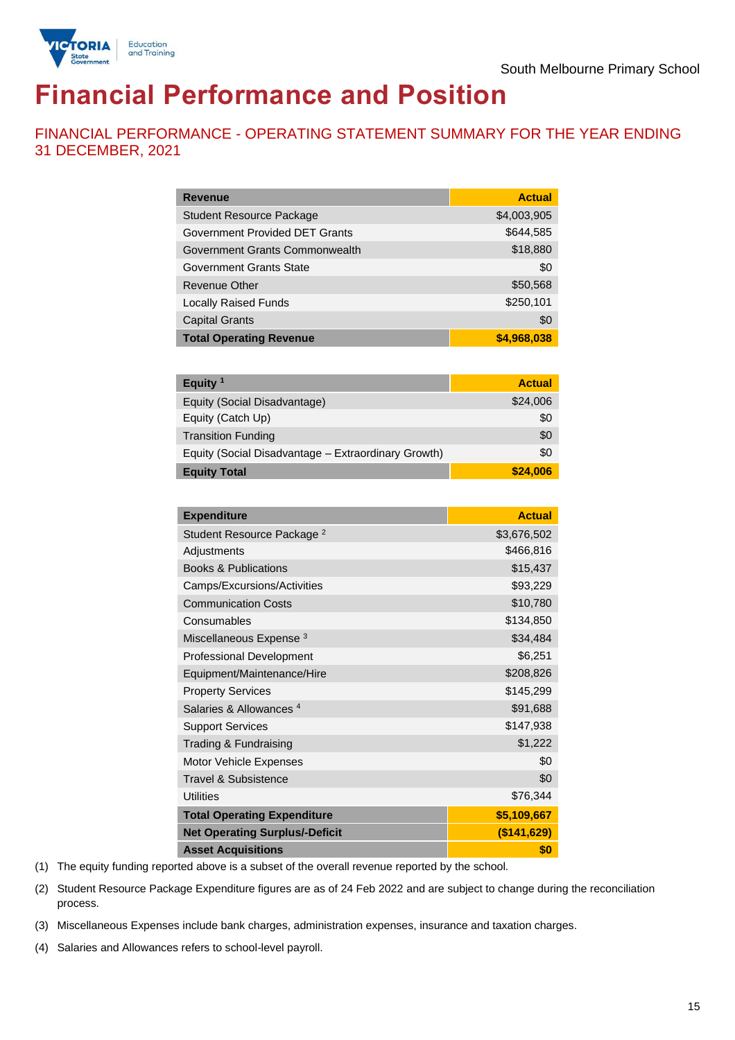

# **Financial Performance and Position**

FINANCIAL PERFORMANCE - OPERATING STATEMENT SUMMARY FOR THE YEAR ENDING 31 DECEMBER, 2021

| <b>Revenue</b>                  | <b>Actual</b> |
|---------------------------------|---------------|
| <b>Student Resource Package</b> | \$4,003,905   |
| Government Provided DET Grants  | \$644,585     |
| Government Grants Commonwealth  | \$18,880      |
| Government Grants State         | \$0           |
| Revenue Other                   | \$50,568      |
| <b>Locally Raised Funds</b>     | \$250,101     |
| <b>Capital Grants</b>           | \$0           |
| <b>Total Operating Revenue</b>  | \$4,968,038   |

| Equity <sup>1</sup>                                 | <b>Actual</b> |
|-----------------------------------------------------|---------------|
| Equity (Social Disadvantage)                        | \$24,006      |
| Equity (Catch Up)                                   | \$0           |
| <b>Transition Funding</b>                           | \$0           |
| Equity (Social Disadvantage - Extraordinary Growth) | \$0           |
| <b>Equity Total</b>                                 | \$24,006      |

| <b>Expenditure</b>                    | <b>Actual</b> |
|---------------------------------------|---------------|
| Student Resource Package <sup>2</sup> | \$3,676,502   |
| Adjustments                           | \$466,816     |
| <b>Books &amp; Publications</b>       | \$15,437      |
| Camps/Excursions/Activities           | \$93,229      |
| <b>Communication Costs</b>            | \$10,780      |
| Consumables                           | \$134,850     |
| Miscellaneous Expense <sup>3</sup>    | \$34,484      |
| <b>Professional Development</b>       | \$6,251       |
| Equipment/Maintenance/Hire            | \$208,826     |
| <b>Property Services</b>              | \$145,299     |
| Salaries & Allowances <sup>4</sup>    | \$91,688      |
| <b>Support Services</b>               | \$147,938     |
| Trading & Fundraising                 | \$1,222       |
| Motor Vehicle Expenses                | \$0           |
| <b>Travel &amp; Subsistence</b>       | \$0           |
| <b>Utilities</b>                      | \$76,344      |
| <b>Total Operating Expenditure</b>    | \$5,109,667   |
| <b>Net Operating Surplus/-Deficit</b> | (\$141,629)   |
| <b>Asset Acquisitions</b>             | \$0           |

(1) The equity funding reported above is a subset of the overall revenue reported by the school.

(2) Student Resource Package Expenditure figures are as of 24 Feb 2022 and are subject to change during the reconciliation process.

(3) Miscellaneous Expenses include bank charges, administration expenses, insurance and taxation charges.

(4) Salaries and Allowances refers to school-level payroll.